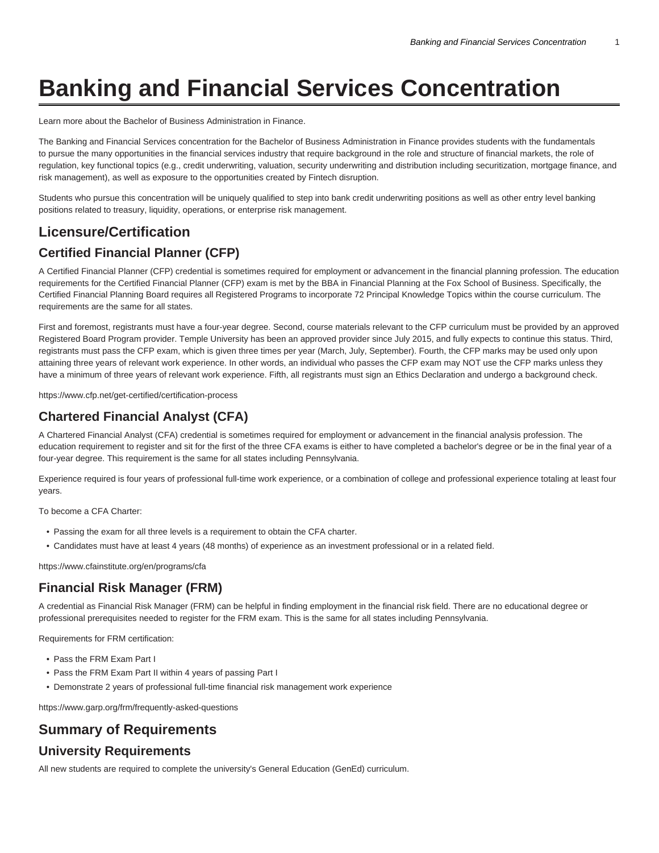# **Banking and Financial Services Concentration**

[Learn more about the Bachelor of Business Administration in Finance.](https://www.temple.edu/academics/degree-programs/finance-major-bu-fin-bba/)

The Banking and Financial Services concentration for the Bachelor of Business Administration in Finance provides students with the fundamentals to pursue the many opportunities in the financial services industry that require background in the role and structure of financial markets, the role of regulation, key functional topics (e.g., credit underwriting, valuation, security underwriting and distribution including securitization, mortgage finance, and risk management), as well as exposure to the opportunities created by Fintech disruption.

Students who pursue this concentration will be uniquely qualified to step into bank credit underwriting positions as well as other entry level banking positions related to treasury, liquidity, operations, or enterprise risk management.

# **Licensure/Certification**

## **Certified Financial Planner (CFP)**

A Certified Financial Planner (CFP) credential is sometimes required for employment or advancement in the financial planning profession. The education requirements for the Certified Financial Planner (CFP) exam is met by the BBA in Financial Planning at the Fox School of Business. Specifically, the Certified Financial Planning Board requires all Registered Programs to incorporate 72 Principal Knowledge Topics within the course curriculum. The requirements are the same for all states.

First and foremost, registrants must have a four-year degree. Second, course materials relevant to the CFP curriculum must be provided by an approved Registered Board Program provider. Temple University has been an approved provider since July 2015, and fully expects to continue this status. Third, registrants must pass the CFP exam, which is given three times per year (March, July, September). Fourth, the CFP marks may be used only upon attaining three years of relevant work experience. In other words, an individual who passes the CFP exam may NOT use the CFP marks unless they have a minimum of three years of relevant work experience. Fifth, all registrants must sign an Ethics Declaration and undergo a background check.

[https://www.cfp.net/get-certified/certification-process](https://www.cfp.net/get-certified/certification-process/)

#### **Chartered Financial Analyst (CFA)**

A Chartered Financial Analyst (CFA) credential is sometimes required for employment or advancement in the financial analysis profession. The education requirement to register and sit for the first of the three CFA exams is either to have completed a bachelor's degree or be in the final year of a four-year degree. This requirement is the same for all states including Pennsylvania.

Experience required is four years of professional full-time work experience, or a combination of college and professional experience totaling at least four years.

To become a CFA Charter:

- Passing the exam for all three levels is a requirement to obtain the CFA charter.
- Candidates must have at least 4 years (48 months) of experience as an investment professional or in a related field.

[https://www.cfainstitute.org/en/programs/cfa](https://www.cfainstitute.org/en/programs/cfa/)

#### **Financial Risk Manager (FRM)**

A credential as Financial Risk Manager (FRM) can be helpful in finding employment in the financial risk field. There are no educational degree or professional prerequisites needed to register for the FRM exam. This is the same for all states including Pennsylvania.

Requirements for FRM certification:

- Pass the FRM Exam Part I
- Pass the FRM Exam Part II within 4 years of passing Part I
- Demonstrate 2 years of professional full-time financial risk management work experience

[https://www.garp.org/frm/frequently-asked-questions](https://www.garp.org/frm/frequently-asked-questions/)

# **Summary of Requirements University Requirements**

All new students are required to complete the university's General Education [\(GenEd](https://bulletin.temple.edu/undergraduate/general-education/)) curriculum.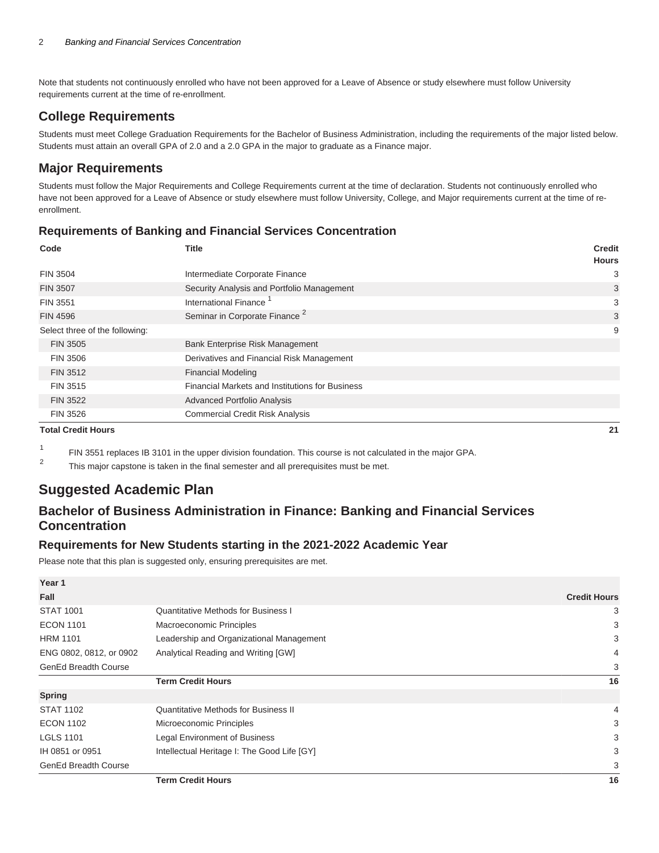Note that students not continuously enrolled who have not been approved for a Leave of Absence or study elsewhere must follow University requirements current at the time of re-enrollment.

#### **College Requirements**

Students must meet [College Graduation Requirements](https://bulletin.temple.edu/undergraduate/fox-business-management/#requirementstext) for the Bachelor of Business Administration, including the requirements of the major listed below. Students must attain an overall GPA of 2.0 and a 2.0 GPA in the major to graduate as a Finance major.

## **Major Requirements**

Students must follow the Major Requirements and College Requirements current at the time of declaration. Students not continuously enrolled who have not been approved for a Leave of Absence or study elsewhere must follow University, College, and Major requirements current at the time of reenrollment.

#### **Requirements of Banking and Financial Services Concentration**

| Code                           | <b>Title</b>                                           | <b>Credit</b><br><b>Hours</b> |
|--------------------------------|--------------------------------------------------------|-------------------------------|
| <b>FIN 3504</b>                | Intermediate Corporate Finance                         | 3                             |
| <b>FIN 3507</b>                | Security Analysis and Portfolio Management             | 3                             |
| <b>FIN 3551</b>                | International Finance                                  | 3                             |
| <b>FIN 4596</b>                | Seminar in Corporate Finance <sup>2</sup>              | 3                             |
| Select three of the following: |                                                        | 9                             |
| <b>FIN 3505</b>                | Bank Enterprise Risk Management                        |                               |
| <b>FIN 3506</b>                | Derivatives and Financial Risk Management              |                               |
| FIN 3512                       | <b>Financial Modeling</b>                              |                               |
| FIN 3515                       | <b>Financial Markets and Institutions for Business</b> |                               |
| <b>FIN 3522</b>                | <b>Advanced Portfolio Analysis</b>                     |                               |
| <b>FIN 3526</b>                | <b>Commercial Credit Risk Analysis</b>                 |                               |
| <b>Total Credit Hours</b>      |                                                        | 21                            |

1 FIN 3551 replaces IB 3101 in the upper division foundation. This course is not calculated in the major GPA.

 $\overline{2}$ This major capstone is taken in the final semester and all prerequisites must be met.

# **Suggested Academic Plan**

# **Bachelor of Business Administration in Finance: Banking and Financial Services Concentration**

#### **Requirements for New Students starting in the 2021-2022 Academic Year**

Please note that this plan is suggested only, ensuring prerequisites are met.

|                             | <b>Term Credit Hours</b>                    | 16                  |
|-----------------------------|---------------------------------------------|---------------------|
| <b>GenEd Breadth Course</b> |                                             | 3                   |
| IH 0851 or 0951             | Intellectual Heritage I: The Good Life [GY] | 3                   |
| <b>LGLS 1101</b>            | <b>Legal Environment of Business</b>        | 3                   |
| <b>ECON 1102</b>            | Microeconomic Principles                    | 3                   |
| <b>STAT 1102</b>            | <b>Quantitative Methods for Business II</b> | 4                   |
| <b>Spring</b>               |                                             |                     |
|                             | <b>Term Credit Hours</b>                    | 16                  |
| <b>GenEd Breadth Course</b> |                                             | 3                   |
| ENG 0802, 0812, or 0902     | Analytical Reading and Writing [GW]         | 4                   |
| <b>HRM 1101</b>             | Leadership and Organizational Management    | 3                   |
| <b>ECON 1101</b>            | Macroeconomic Principles                    | 3                   |
| <b>STAT 1001</b>            | <b>Quantitative Methods for Business I</b>  | 3                   |
| Fall                        |                                             | <b>Credit Hours</b> |
| Year 1                      |                                             |                     |
|                             |                                             |                     |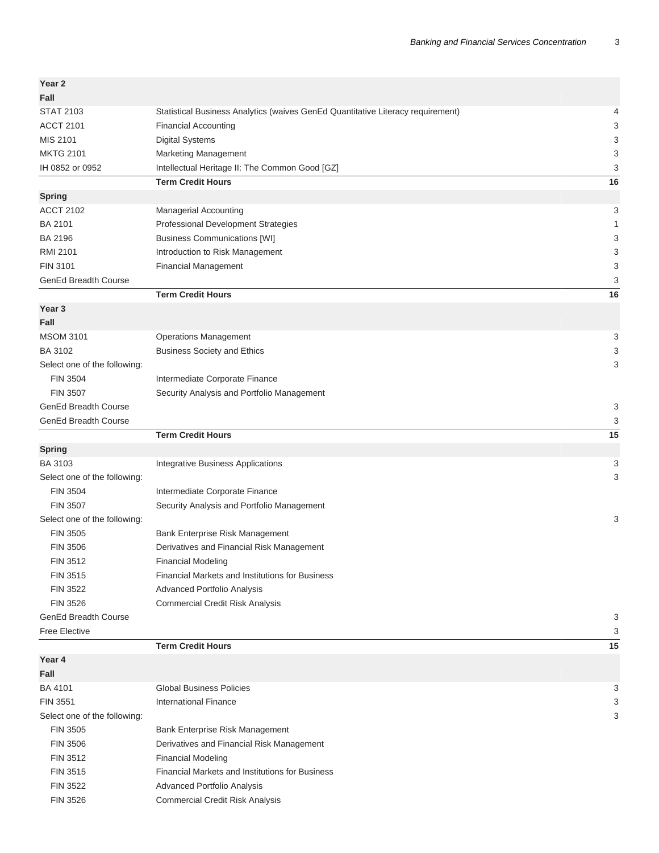| Year 2                       |                                                                                 |    |
|------------------------------|---------------------------------------------------------------------------------|----|
| Fall                         |                                                                                 |    |
| <b>STAT 2103</b>             | Statistical Business Analytics (waives GenEd Quantitative Literacy requirement) | 4  |
| <b>ACCT 2101</b>             | <b>Financial Accounting</b>                                                     | 3  |
| MIS 2101                     | <b>Digital Systems</b>                                                          | 3  |
| <b>MKTG 2101</b>             | Marketing Management                                                            | 3  |
| IH 0852 or 0952              | Intellectual Heritage II: The Common Good [GZ]                                  | 3  |
|                              | <b>Term Credit Hours</b>                                                        | 16 |
| <b>Spring</b>                |                                                                                 |    |
| <b>ACCT 2102</b>             | Managerial Accounting                                                           | 3  |
| <b>BA 2101</b>               | Professional Development Strategies                                             | 1  |
| <b>BA 2196</b>               | <b>Business Communications [WI]</b>                                             | 3  |
| <b>RMI 2101</b>              | Introduction to Risk Management                                                 | 3  |
| <b>FIN 3101</b>              | <b>Financial Management</b>                                                     | 3  |
| <b>GenEd Breadth Course</b>  |                                                                                 | 3  |
|                              | <b>Term Credit Hours</b>                                                        | 16 |
| Year <sub>3</sub>            |                                                                                 |    |
| Fall                         |                                                                                 |    |
| <b>MSOM 3101</b>             | <b>Operations Management</b>                                                    | 3  |
| BA 3102                      | <b>Business Society and Ethics</b>                                              | 3  |
| Select one of the following: |                                                                                 | 3  |
| <b>FIN 3504</b>              | Intermediate Corporate Finance                                                  |    |
| <b>FIN 3507</b>              | Security Analysis and Portfolio Management                                      |    |
| <b>GenEd Breadth Course</b>  |                                                                                 | 3  |
| <b>GenEd Breadth Course</b>  |                                                                                 | 3  |
|                              | <b>Term Credit Hours</b>                                                        | 15 |
| <b>Spring</b>                |                                                                                 |    |
| <b>BA 3103</b>               | Integrative Business Applications                                               | 3  |
| Select one of the following: |                                                                                 | 3  |
| <b>FIN 3504</b>              | Intermediate Corporate Finance                                                  |    |
| <b>FIN 3507</b>              | Security Analysis and Portfolio Management                                      |    |
| Select one of the following: |                                                                                 | 3  |
| <b>FIN 3505</b>              | Bank Enterprise Risk Management                                                 |    |
| <b>FIN 3506</b>              | Derivatives and Financial Risk Management                                       |    |
| FIN 3512                     | <b>Financial Modeling</b>                                                       |    |
| FIN 3515                     | <b>Financial Markets and Institutions for Business</b>                          |    |
| <b>FIN 3522</b>              | Advanced Portfolio Analysis                                                     |    |
| <b>FIN 3526</b>              | <b>Commercial Credit Risk Analysis</b>                                          |    |
| <b>GenEd Breadth Course</b>  |                                                                                 | 3  |
| <b>Free Elective</b>         |                                                                                 | 3  |
|                              | <b>Term Credit Hours</b>                                                        | 15 |
| Year 4                       |                                                                                 |    |
| Fall                         |                                                                                 |    |
| <b>BA 4101</b>               | <b>Global Business Policies</b>                                                 | 3  |
| <b>FIN 3551</b>              | <b>International Finance</b>                                                    | 3  |
| Select one of the following: |                                                                                 | 3  |
| <b>FIN 3505</b>              | Bank Enterprise Risk Management                                                 |    |
| <b>FIN 3506</b>              | Derivatives and Financial Risk Management                                       |    |
| FIN 3512                     | <b>Financial Modeling</b>                                                       |    |
| FIN 3515                     | Financial Markets and Institutions for Business                                 |    |
| <b>FIN 3522</b>              | Advanced Portfolio Analysis                                                     |    |
| FIN 3526                     | <b>Commercial Credit Risk Analysis</b>                                          |    |